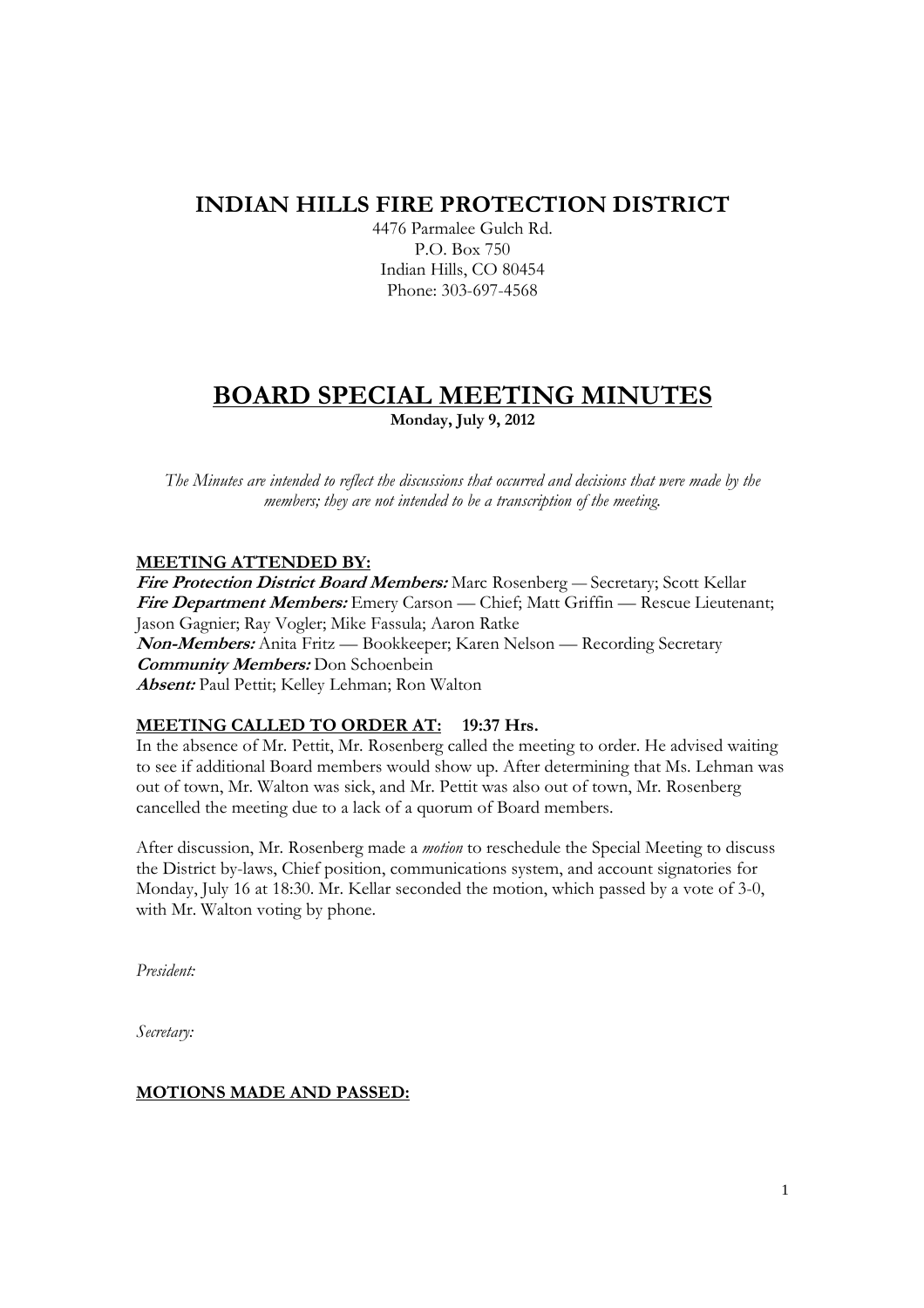# **INDIAN HILLS FIRE PROTECTION DISTRICT**

4476 Parmalee Gulch Rd. P.O. Box 750 Indian Hills, CO 80454 Phone: 303-697-4568

# **BOARD SPECIAL MEETING MINUTES Monday, July 9, 2012**

*The Minutes are intended to reflect the discussions that occurred and decisions that were made by the members; they are not intended to be a transcription of the meeting.* 

## **MEETING ATTENDED BY:**

**Fire Protection District Board Members:** Marc Rosenberg — Secretary; Scott Kellar **Fire Department Members:** Emery Carson — Chief; Matt Griffin — Rescue Lieutenant; Jason Gagnier; Ray Vogler; Mike Fassula; Aaron Ratke **Non-Members:** Anita Fritz — Bookkeeper; Karen Nelson — Recording Secretary **Community Members:** Don Schoenbein **Absent:** Paul Pettit; Kelley Lehman; Ron Walton

### **MEETING CALLED TO ORDER AT: 19:37 Hrs.**

In the absence of Mr. Pettit, Mr. Rosenberg called the meeting to order. He advised waiting to see if additional Board members would show up. After determining that Ms. Lehman was out of town, Mr. Walton was sick, and Mr. Pettit was also out of town, Mr. Rosenberg cancelled the meeting due to a lack of a quorum of Board members.

After discussion, Mr. Rosenberg made a *motion* to reschedule the Special Meeting to discuss the District by-laws, Chief position, communications system, and account signatories for Monday, July 16 at 18:30. Mr. Kellar seconded the motion, which passed by a vote of 3-0, with Mr. Walton voting by phone.

*President:* 

*Secretary:* 

### **MOTIONS MADE AND PASSED:**